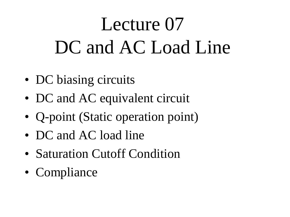# Lecture 07 DC and AC Load Line

- DC biasing circuits
- DC and AC equivalent circuit
- Q-point (Static operation point)
- DC and AC load line
- Saturation Cutoff Condition
- Compliance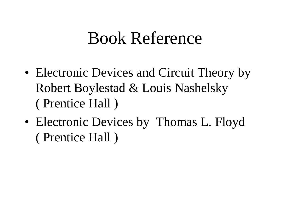#### Book Reference

- Electronic Devices and Circuit Theory by Robert Boylestad & Louis Nashelsky ( Prentice Hall )
- Electronic Devices by Thomas L. Floyd ( Prentice Hall )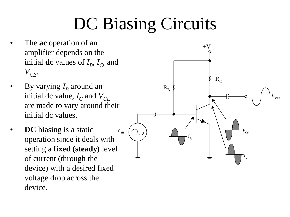## DC Biasing Circuits

- The **ac** operation of an amplifier depends on the initial **dc** values of  $I_B$ ,  $I_C$ , and  $V_{CE}$
- By varying  $I_B$  around an initial dc value,  $I_C$  and  $V_{CE}$ are made to vary around their initial dc values.
- **DC** biasing is a static operation since it deals with setting a **fixed (steady)** level of current (through the device) with a desired fixed voltage drop across the device.

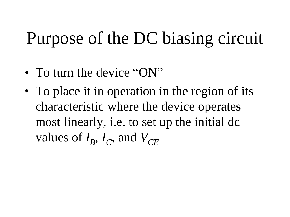## Purpose of the DC biasing circuit

- To turn the device "ON"
- To place it in operation in the region of its characteristic where the device operates most linearly, i.e. to set up the initial dc values of  $I_B$ ,  $I_C$ , and  $V_{CE}$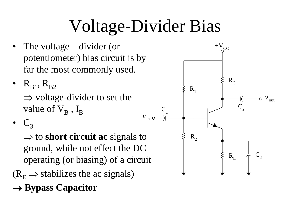# Voltage-Divider Bias

- The voltage divider (or potentiometer) bias circuit is by far the most commonly used.
- $R_{B1}$ ,  $R_{B2}$  $\Rightarrow$  voltage-divider to set the value of  $\rm V_B$  ,  $\rm I_B$

 $C<sub>3</sub>$ 

 $\Rightarrow$  to **short circuit** ac signals to ground, while not effect the DC operating (or biasing) of a circuit  $(R<sub>F</sub> \Rightarrow$  stabilizes the ac signals)

**→ Bypass Capacitor** 

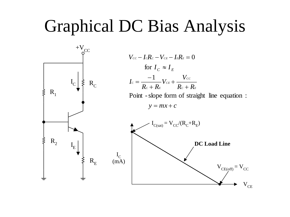#### Graphical DC Bias Analysis

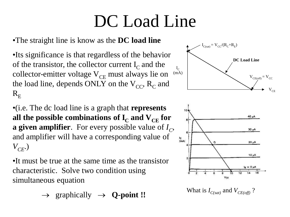### DC Load Line

#### •The straight line is know as the **DC load line**

•Its significance is that regardless of the behavior of the transistor, the collector current  $I_c$  and the collector-emitter voltage  $V_{CE}$  must always lie on the load line, depends ONLY on the  $V_{CC}$ ,  $R_C$  and  $R_{\rm E}$ 

•(i.e. The dc load line is a graph that **represents**  all the possible combinations of  $\mathbf{I}_\mathrm{C}$  and  $\mathbf{V}_\mathrm{CE}$  for **a given amplifier**. For every possible value of *I<sup>C</sup>* , and amplifier will have a corresponding value of *VCE*.)

•It must be true at the same time as the transistor characteristic. Solve two condition using simultaneous equation

 $\rightarrow$  graphically  $\rightarrow$  **Q-point !!** What is *I*<sub>C(sat)</sub> and *V*<sub>CE(off)</sub>?

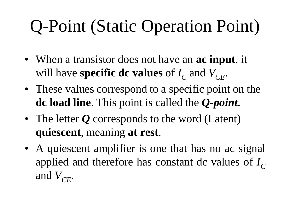# Q-Point (Static Operation Point)

- When a transistor does not have an **ac input**, it will have **specific dc values** of  $I_C$  and  $V_{CE}$ .
- These values correspond to a specific point on the **dc load line**. This point is called the *Q-point*.
- The letter *Q* corresponds to the word (Latent) **quiescent**, meaning **at rest**.
- A quiescent amplifier is one that has no ac signal applied and therefore has constant dc values of  $I_C$ and  $V_{CF}$ .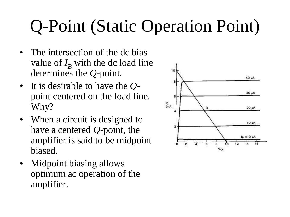# Q-Point (Static Operation Point)

- The intersection of the dc bias value of  $I_B$  with the dc load line determines the *Q*-point.
- It is desirable to have the *Q*point centered on the load line. Why?
- When a circuit is designed to have a centered *Q*-point, the amplifier is said to be midpoint biased.
- Midpoint biasing allows optimum ac operation of the amplifier.

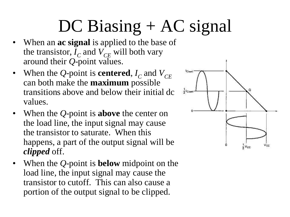# DC Biasing + AC signal

- When an **ac signal** is applied to the base of the transistor,  $I_C$  and  $V_{CE}$  will both vary around their *Q*-point values.
- When the *Q*-point is **centered**,  $I_C$  and  $V_{CE}$ can both make the **maximum** possible transitions above and below their initial dc values.
- When the *Q*-point is **above** the center on the load line, the input signal may cause the transistor to saturate. When this happens, a part of the output signal will be *clipped* off.
- When the *Q*-point is **below** midpoint on the load line, the input signal may cause the transistor to cutoff. This can also cause a portion of the output signal to be clipped.

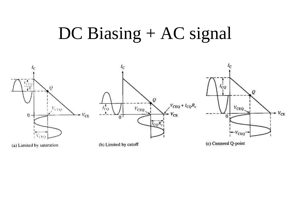#### DC Biasing + AC signal



(a) Limited by saturation

(b) Limited by cutoff

(c) Centered Q-point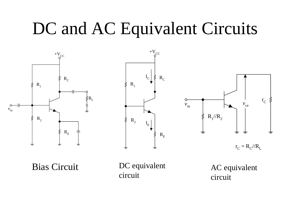#### DC and AC Equivalent Circuits





Bias Circuit DC equivalent circuit

AC equivalent circuit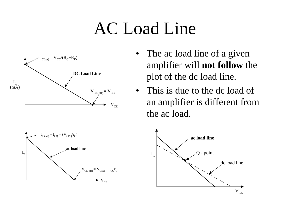### AC Load Line



- The ac load line of a given amplifier will **not follow** the plot of the dc load line.
- This is due to the dc load of an amplifier is different from the ac load.



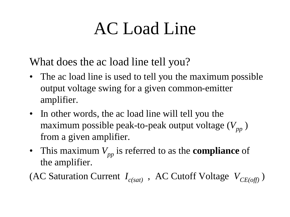## AC Load Line

What does the ac load line tell you?

- The ac load line is used to tell you the maximum possible output voltage swing for a given common-emitter amplifier.
- In other words, the ac load line will tell you the maximum possible peak-to-peak output voltage  $(V_{pp})$ from a given amplifier.
- This maximum  $V_{pp}$  is referred to as the **compliance** of the amplifier.

(AC Saturation Current  $I_{c(sat)}$ , AC Cutoff Voltage  $V_{CE(off)}$ )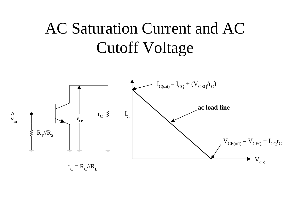#### AC Saturation Current and AC Cutoff Voltage

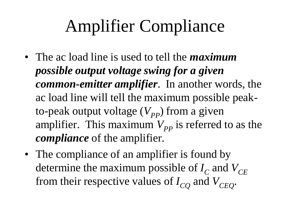## Amplifier Compliance

- The ac load line is used to tell the *maximum possible output voltage swing for a given common-emitter amplifier*. In another words, the ac load line will tell the maximum possible peakto-peak output voltage  $(V_{pp})$  from a given amplifier. This maximum  $V_{pp}$  is referred to as the *compliance* of the amplifier.
- The compliance of an amplifier is found by determine the maximum possible of  $I_C$  and  $V_{CE}$ from their respective values of  $I_{CO}$  and  $V_{CEO}$ .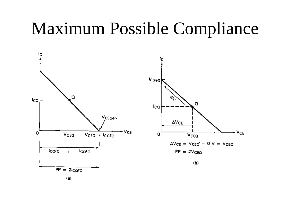#### Maximum Possible Compliance



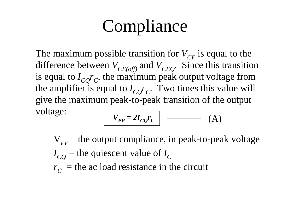### **Compliance**

The maximum possible transition for  $V_{CE}$  is equal to the difference between  $V_{CE(off)}$  and  $V_{CEO}$ . Since this transition is equal to  $I_{CQ}r_C$ , the maximum peak output voltage from the amplifier is equal to  $I_{CQ}r_C$ . Two times this value will give the maximum peak-to-peak transition of the output voltage:

$$
V_{PP} = 2I_{CQ}r_C
$$
 (A)

 $V_{pp}$  = the output compliance, in peak-to-peak voltage  $I_{CO}$  = the quiescent value of  $I_C$  $r_c$  = the ac load resistance in the circuit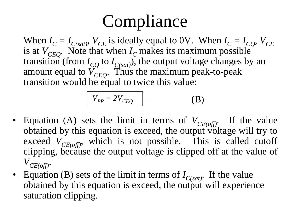## **Compliance**

When  $I_C = I_{C(sat)}$ ,  $V_{CE}$  is ideally equal to 0V. When  $I_C = I_{CO}$ ,  $V_{CE}$ is at  $V_{CEO}$ . Note that when  $I_C$  makes its maximum possible transition (from  $I_{CO}$  to  $I_{C(sat)}$ ), the output voltage changes by an amount equal to  $V_{CEO}^{\sim}$ . Thus the maximum peak-to-peak transition would be equal to twice this value:

$$
V_{PP} = 2V_{CEQ} \qquad (B)
$$

- Equation (A) sets the limit in terms of  $V_{CE(off)}$ . If the value obtained by this equation is exceed, the output voltage will try to exceed  $V_{CE(off)}$ , which is not possible. This is called cutoff clipping, because the output voltage is clipped off at the value of  $V_{CE(off)}$ .
- Equation (B) sets of the limit in terms of  $I_{C(sat)}$ . If the value obtained by this equation is exceed, the output will experience saturation clipping.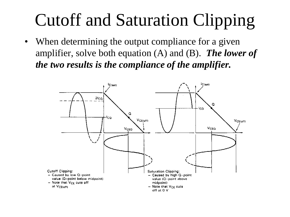## Cutoff and Saturation Clipping

• When determining the output compliance for a given amplifier, solve both equation (A) and (B). *The lower of the two results is the compliance of the amplifier.*